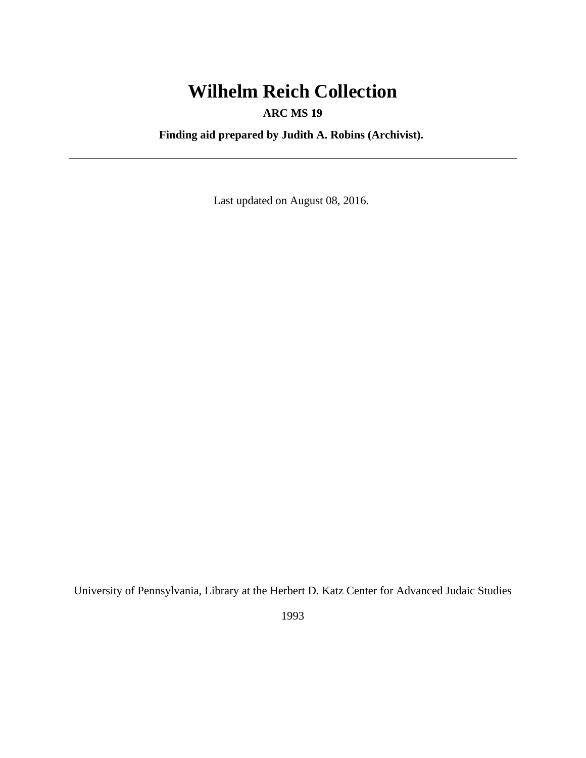# **Wilhelm Reich Collection**

## **ARC MS 19**

**Finding aid prepared by Judith A. Robins (Archivist).**

Last updated on August 08, 2016.

University of Pennsylvania, Library at the Herbert D. Katz Center for Advanced Judaic Studies

1993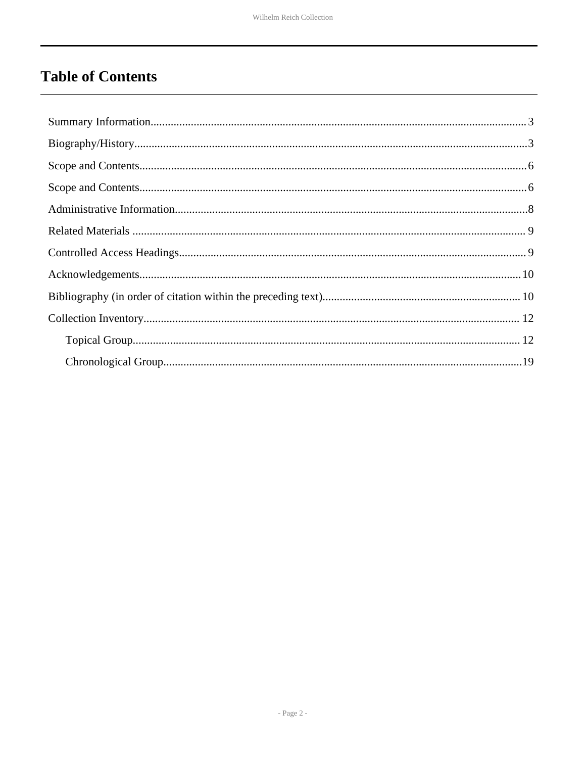# **Table of Contents**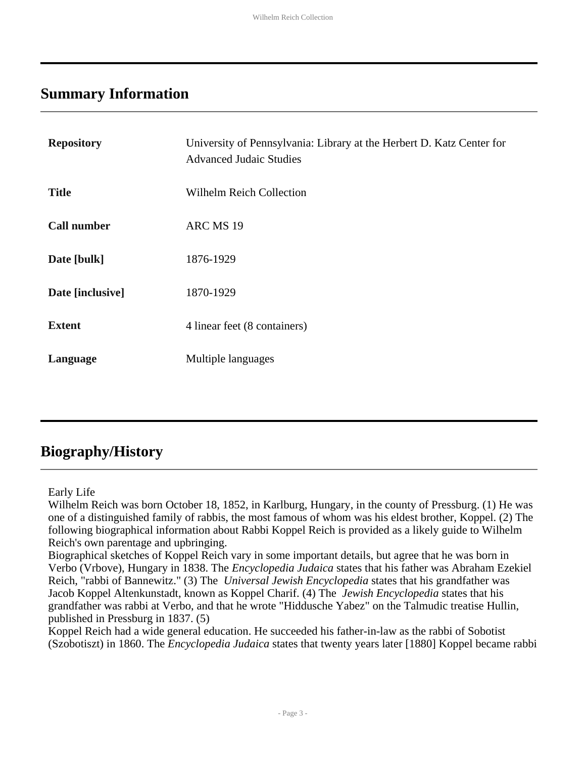## <span id="page-2-0"></span>**Summary Information**

| <b>Repository</b>  | University of Pennsylvania: Library at the Herbert D. Katz Center for<br><b>Advanced Judaic Studies</b> |
|--------------------|---------------------------------------------------------------------------------------------------------|
| <b>Title</b>       | <b>Wilhelm Reich Collection</b>                                                                         |
| <b>Call number</b> | ARC MS 19                                                                                               |
| Date [bulk]        | 1876-1929                                                                                               |
| Date [inclusive]   | 1870-1929                                                                                               |
| <b>Extent</b>      | 4 linear feet (8 containers)                                                                            |
| Language           | Multiple languages                                                                                      |

## <span id="page-2-1"></span>**Biography/History**

#### Early Life

Wilhelm Reich was born October 18, 1852, in Karlburg, Hungary, in the county of Pressburg. (1) He was one of a distinguished family of rabbis, the most famous of whom was his eldest brother, Koppel. (2) The following biographical information about Rabbi Koppel Reich is provided as a likely guide to Wilhelm Reich's own parentage and upbringing.

Biographical sketches of Koppel Reich vary in some important details, but agree that he was born in Verbo (Vrbove), Hungary in 1838. The *Encyclopedia Judaica* states that his father was Abraham Ezekiel Reich, "rabbi of Bannewitz." (3) The *Universal Jewish Encyclopedia* states that his grandfather was Jacob Koppel Altenkunstadt, known as Koppel Charif. (4) The *Jewish Encyclopedia* states that his grandfather was rabbi at Verbo, and that he wrote "Hiddusche Yabez" on the Talmudic treatise Hullin, published in Pressburg in 1837. (5)

Koppel Reich had a wide general education. He succeeded his father-in-law as the rabbi of Sobotist (Szobotiszt) in 1860. The *Encyclopedia Judaica* states that twenty years later [1880] Koppel became rabbi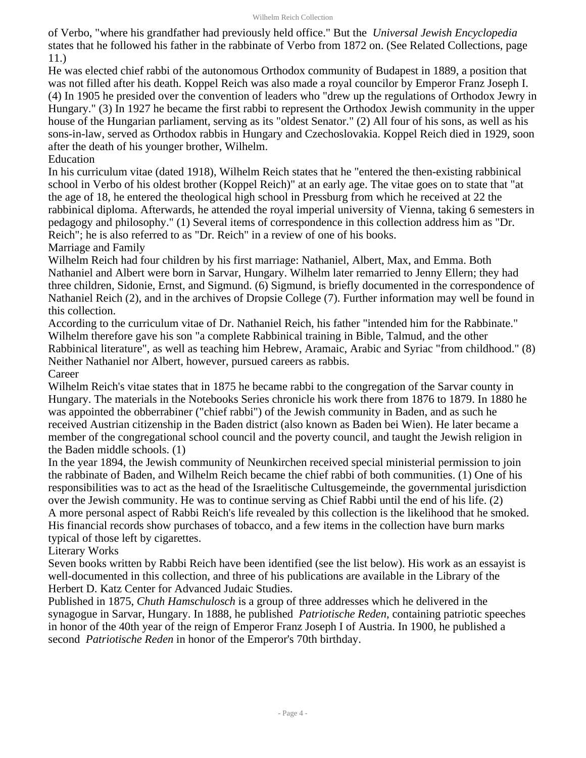of Verbo, "where his grandfather had previously held office." But the *Universal Jewish Encyclopedia* states that he followed his father in the rabbinate of Verbo from 1872 on. (See Related Collections, page 11.)

He was elected chief rabbi of the autonomous Orthodox community of Budapest in 1889, a position that was not filled after his death. Koppel Reich was also made a royal councilor by Emperor Franz Joseph I. (4) In 1905 he presided over the convention of leaders who "drew up the regulations of Orthodox Jewry in Hungary." (3) In 1927 he became the first rabbi to represent the Orthodox Jewish community in the upper house of the Hungarian parliament, serving as its "oldest Senator." (2) All four of his sons, as well as his sons-in-law, served as Orthodox rabbis in Hungary and Czechoslovakia. Koppel Reich died in 1929, soon after the death of his younger brother, Wilhelm.

Education

In his curriculum vitae (dated 1918), Wilhelm Reich states that he "entered the then-existing rabbinical school in Verbo of his oldest brother (Koppel Reich)" at an early age. The vitae goes on to state that "at the age of 18, he entered the theological high school in Pressburg from which he received at 22 the rabbinical diploma. Afterwards, he attended the royal imperial university of Vienna, taking 6 semesters in pedagogy and philosophy." (1) Several items of correspondence in this collection address him as "Dr. Reich"; he is also referred to as "Dr. Reich" in a review of one of his books.

Marriage and Family

Wilhelm Reich had four children by his first marriage: Nathaniel, Albert, Max, and Emma. Both Nathaniel and Albert were born in Sarvar, Hungary. Wilhelm later remarried to Jenny Ellern; they had three children, Sidonie, Ernst, and Sigmund. (6) Sigmund, is briefly documented in the correspondence of Nathaniel Reich (2), and in the archives of Dropsie College (7). Further information may well be found in this collection.

According to the curriculum vitae of Dr. Nathaniel Reich, his father "intended him for the Rabbinate." Wilhelm therefore gave his son "a complete Rabbinical training in Bible, Talmud, and the other Rabbinical literature", as well as teaching him Hebrew, Aramaic, Arabic and Syriac "from childhood." (8) Neither Nathaniel nor Albert, however, pursued careers as rabbis. Career

Wilhelm Reich's vitae states that in 1875 he became rabbi to the congregation of the Sarvar county in Hungary. The materials in the Notebooks Series chronicle his work there from 1876 to 1879. In 1880 he was appointed the obberrabiner ("chief rabbi") of the Jewish community in Baden, and as such he received Austrian citizenship in the Baden district (also known as Baden bei Wien). He later became a member of the congregational school council and the poverty council, and taught the Jewish religion in the Baden middle schools. (1)

In the year 1894, the Jewish community of Neunkirchen received special ministerial permission to join the rabbinate of Baden, and Wilhelm Reich became the chief rabbi of both communities. (1) One of his responsibilities was to act as the head of the Israelitische Cultusgemeinde, the governmental jurisdiction over the Jewish community. He was to continue serving as Chief Rabbi until the end of his life. (2) A more personal aspect of Rabbi Reich's life revealed by this collection is the likelihood that he smoked. His financial records show purchases of tobacco, and a few items in the collection have burn marks typical of those left by cigarettes.

Literary Works

Seven books written by Rabbi Reich have been identified (see the list below). His work as an essayist is well-documented in this collection, and three of his publications are available in the Library of the Herbert D. Katz Center for Advanced Judaic Studies.

Published in 1875, *Chuth Hamschulosch* is a group of three addresses which he delivered in the synagogue in Sarvar, Hungary. In 1888, he published *Patriotische Reden*, containing patriotic speeches in honor of the 40th year of the reign of Emperor Franz Joseph I of Austria. In 1900, he published a second *Patriotische Reden* in honor of the Emperor's 70th birthday.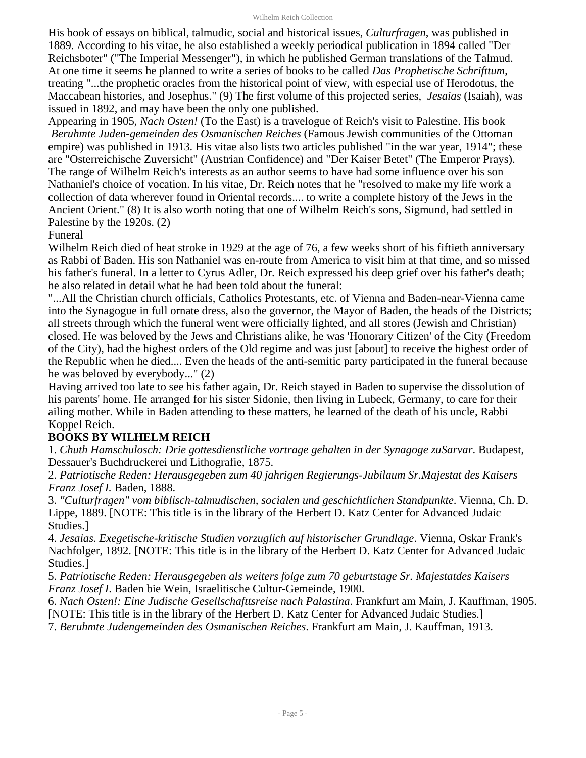His book of essays on biblical, talmudic, social and historical issues, *Culturfragen*, was published in 1889. According to his vitae, he also established a weekly periodical publication in 1894 called "Der Reichsboter" ("The Imperial Messenger"), in which he published German translations of the Talmud. At one time it seems he planned to write a series of books to be called *Das Prophetische Schrifttum*, treating "...the prophetic oracles from the historical point of view, with especial use of Herodotus, the Maccabean histories, and Josephus." (9) The first volume of this projected series, *Jesaias* (Isaiah), was issued in 1892, and may have been the only one published.

Appearing in 1905, *Nach Osten!* (To the East) is a travelogue of Reich's visit to Palestine. His book *Beruhmte Juden-gemeinden des Osmanischen Reiches* (Famous Jewish communities of the Ottoman empire) was published in 1913. His vitae also lists two articles published "in the war year, 1914"; these are "Osterreichische Zuversicht" (Austrian Confidence) and "Der Kaiser Betet" (The Emperor Prays). The range of Wilhelm Reich's interests as an author seems to have had some influence over his son Nathaniel's choice of vocation. In his vitae, Dr. Reich notes that he "resolved to make my life work a collection of data wherever found in Oriental records.... to write a complete history of the Jews in the Ancient Orient." (8) It is also worth noting that one of Wilhelm Reich's sons, Sigmund, had settled in Palestine by the 1920s. (2)

#### Funeral

Wilhelm Reich died of heat stroke in 1929 at the age of 76, a few weeks short of his fiftieth anniversary as Rabbi of Baden. His son Nathaniel was en-route from America to visit him at that time, and so missed his father's funeral. In a letter to Cyrus Adler, Dr. Reich expressed his deep grief over his father's death; he also related in detail what he had been told about the funeral:

"...All the Christian church officials, Catholics Protestants, etc. of Vienna and Baden-near-Vienna came into the Synagogue in full ornate dress, also the governor, the Mayor of Baden, the heads of the Districts; all streets through which the funeral went were officially lighted, and all stores (Jewish and Christian) closed. He was beloved by the Jews and Christians alike, he was 'Honorary Citizen' of the City (Freedom of the City), had the highest orders of the Old regime and was just [about] to receive the highest order of the Republic when he died.... Even the heads of the anti-semitic party participated in the funeral because he was beloved by everybody..." (2)

Having arrived too late to see his father again, Dr. Reich stayed in Baden to supervise the dissolution of his parents' home. He arranged for his sister Sidonie, then living in Lubeck, Germany, to care for their ailing mother. While in Baden attending to these matters, he learned of the death of his uncle, Rabbi Koppel Reich.

### **BOOKS BY WILHELM REICH**

1. *Chuth Hamschulosch: Drie gottesdienstliche vortrage gehalten in der Synagoge zuSarvar*. Budapest, Dessauer's Buchdruckerei und Lithografie, 1875.

2. *Patriotische Reden: Herausgegeben zum 40 jahrigen Regierungs-Jubilaum Sr.Majestat des Kaisers Franz Josef I.* Baden, 1888.

3. *"Culturfragen" vom biblisch-talmudischen, socialen und geschichtlichen Standpunkte*. Vienna, Ch. D. Lippe, 1889. [NOTE: This title is in the library of the Herbert D. Katz Center for Advanced Judaic Studies.]

4. *Jesaias. Exegetische-kritische Studien vorzuglich auf historischer Grundlage*. Vienna, Oskar Frank's Nachfolger, 1892. [NOTE: This title is in the library of the Herbert D. Katz Center for Advanced Judaic Studies.]

5. *Patriotische Reden: Herausgegeben als weiters folge zum 70 geburtstage Sr. Majestatdes Kaisers Franz Josef I*. Baden bie Wein, Israelitische Cultur-Gemeinde, 1900.

6. *Nach Osten!: Eine Judische Gesellschafttsreise nach Palastina*. Frankfurt am Main, J. Kauffman, 1905. [NOTE: This title is in the library of the Herbert D. Katz Center for Advanced Judaic Studies.]

7. *Beruhmte Judengemeinden des Osmanischen Reiches*. Frankfurt am Main, J. Kauffman, 1913.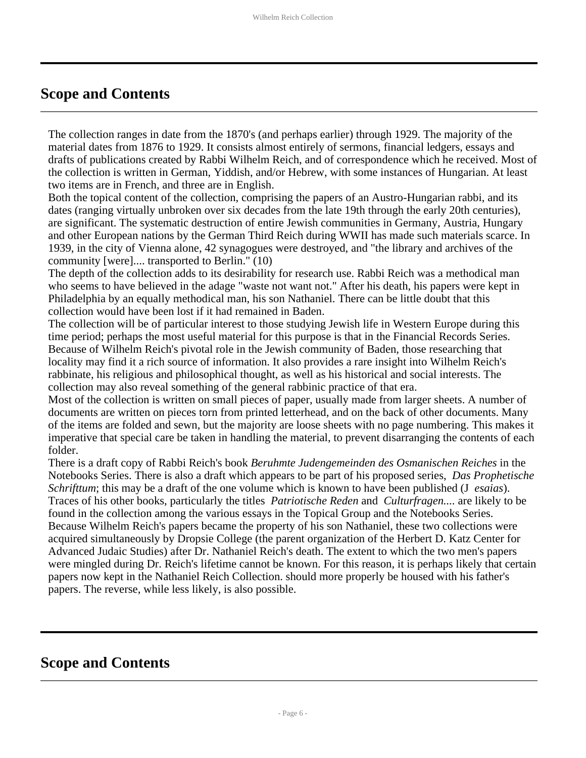## <span id="page-5-0"></span>**Scope and Contents**

The collection ranges in date from the 1870's (and perhaps earlier) through 1929. The majority of the material dates from 1876 to 1929. It consists almost entirely of sermons, financial ledgers, essays and drafts of publications created by Rabbi Wilhelm Reich, and of correspondence which he received. Most of the collection is written in German, Yiddish, and/or Hebrew, with some instances of Hungarian. At least two items are in French, and three are in English.

Both the topical content of the collection, comprising the papers of an Austro-Hungarian rabbi, and its dates (ranging virtually unbroken over six decades from the late 19th through the early 20th centuries), are significant. The systematic destruction of entire Jewish communities in Germany, Austria, Hungary and other European nations by the German Third Reich during WWII has made such materials scarce. In 1939, in the city of Vienna alone, 42 synagogues were destroyed, and "the library and archives of the community [were].... transported to Berlin." (10)

The depth of the collection adds to its desirability for research use. Rabbi Reich was a methodical man who seems to have believed in the adage "waste not want not." After his death, his papers were kept in Philadelphia by an equally methodical man, his son Nathaniel. There can be little doubt that this collection would have been lost if it had remained in Baden.

The collection will be of particular interest to those studying Jewish life in Western Europe during this time period; perhaps the most useful material for this purpose is that in the Financial Records Series. Because of Wilhelm Reich's pivotal role in the Jewish community of Baden, those researching that locality may find it a rich source of information. It also provides a rare insight into Wilhelm Reich's rabbinate, his religious and philosophical thought, as well as his historical and social interests. The collection may also reveal something of the general rabbinic practice of that era.

Most of the collection is written on small pieces of paper, usually made from larger sheets. A number of documents are written on pieces torn from printed letterhead, and on the back of other documents. Many of the items are folded and sewn, but the majority are loose sheets with no page numbering. This makes it imperative that special care be taken in handling the material, to prevent disarranging the contents of each folder.

There is a draft copy of Rabbi Reich's book *Beruhmte Judengemeinden des Osmanischen Reiches* in the Notebooks Series. There is also a draft which appears to be part of his proposed series, *Das Prophetische Schrifttum*; this may be a draft of the one volume which is known to have been published (J *esaias*). Traces of his other books, particularly the titles *Patriotische Reden* and *Culturfragen....* are likely to be found in the collection among the various essays in the Topical Group and the Notebooks Series. Because Wilhelm Reich's papers became the property of his son Nathaniel, these two collections were acquired simultaneously by Dropsie College (the parent organization of the Herbert D. Katz Center for Advanced Judaic Studies) after Dr. Nathaniel Reich's death. The extent to which the two men's papers were mingled during Dr. Reich's lifetime cannot be known. For this reason, it is perhaps likely that certain papers now kept in the Nathaniel Reich Collection. should more properly be housed with his father's papers. The reverse, while less likely, is also possible.

## <span id="page-5-1"></span>**Scope and Contents**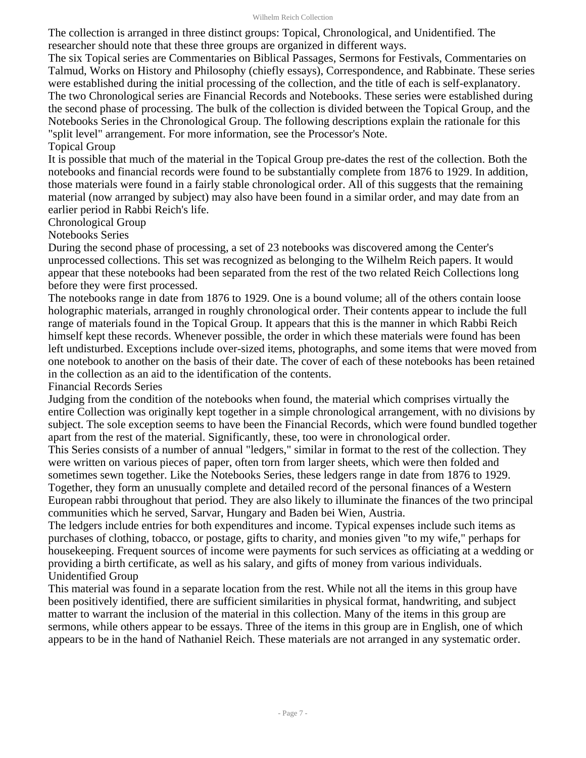The collection is arranged in three distinct groups: Topical, Chronological, and Unidentified. The researcher should note that these three groups are organized in different ways.

The six Topical series are Commentaries on Biblical Passages, Sermons for Festivals, Commentaries on Talmud, Works on History and Philosophy (chiefly essays), Correspondence, and Rabbinate. These series were established during the initial processing of the collection, and the title of each is self-explanatory. The two Chronological series are Financial Records and Notebooks. These series were established during the second phase of processing. The bulk of the collection is divided between the Topical Group, and the Notebooks Series in the Chronological Group. The following descriptions explain the rationale for this "split level" arrangement. For more information, see the Processor's Note.

#### Topical Group

It is possible that much of the material in the Topical Group pre-dates the rest of the collection. Both the notebooks and financial records were found to be substantially complete from 1876 to 1929. In addition, those materials were found in a fairly stable chronological order. All of this suggests that the remaining material (now arranged by subject) may also have been found in a similar order, and may date from an earlier period in Rabbi Reich's life.

Chronological Group

Notebooks Series

During the second phase of processing, a set of 23 notebooks was discovered among the Center's unprocessed collections. This set was recognized as belonging to the Wilhelm Reich papers. It would appear that these notebooks had been separated from the rest of the two related Reich Collections long before they were first processed.

The notebooks range in date from 1876 to 1929. One is a bound volume; all of the others contain loose holographic materials, arranged in roughly chronological order. Their contents appear to include the full range of materials found in the Topical Group. It appears that this is the manner in which Rabbi Reich himself kept these records. Whenever possible, the order in which these materials were found has been left undisturbed. Exceptions include over-sized items, photographs, and some items that were moved from one notebook to another on the basis of their date. The cover of each of these notebooks has been retained in the collection as an aid to the identification of the contents.

Financial Records Series

Judging from the condition of the notebooks when found, the material which comprises virtually the entire Collection was originally kept together in a simple chronological arrangement, with no divisions by subject. The sole exception seems to have been the Financial Records, which were found bundled together apart from the rest of the material. Significantly, these, too were in chronological order.

This Series consists of a number of annual "ledgers," similar in format to the rest of the collection. They were written on various pieces of paper, often torn from larger sheets, which were then folded and sometimes sewn together. Like the Notebooks Series, these ledgers range in date from 1876 to 1929. Together, they form an unusually complete and detailed record of the personal finances of a Western European rabbi throughout that period. They are also likely to illuminate the finances of the two principal communities which he served, Sarvar, Hungary and Baden bei Wien, Austria.

The ledgers include entries for both expenditures and income. Typical expenses include such items as purchases of clothing, tobacco, or postage, gifts to charity, and monies given "to my wife," perhaps for housekeeping. Frequent sources of income were payments for such services as officiating at a wedding or providing a birth certificate, as well as his salary, and gifts of money from various individuals. Unidentified Group

This material was found in a separate location from the rest. While not all the items in this group have been positively identified, there are sufficient similarities in physical format, handwriting, and subject matter to warrant the inclusion of the material in this collection. Many of the items in this group are sermons, while others appear to be essays. Three of the items in this group are in English, one of which appears to be in the hand of Nathaniel Reich. These materials are not arranged in any systematic order.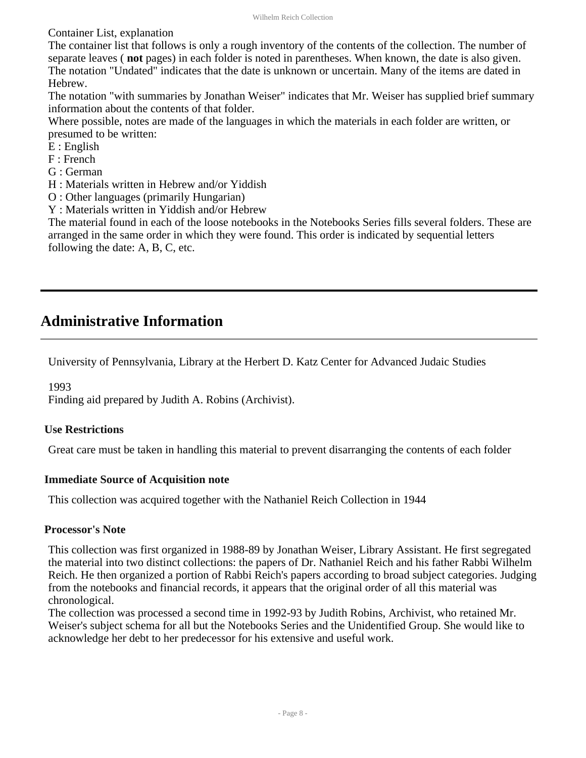Container List, explanation

The container list that follows is only a rough inventory of the contents of the collection. The number of separate leaves ( **not** pages) in each folder is noted in parentheses. When known, the date is also given. The notation "Undated" indicates that the date is unknown or uncertain. Many of the items are dated in Hebrew.

The notation "with summaries by Jonathan Weiser" indicates that Mr. Weiser has supplied brief summary information about the contents of that folder.

Where possible, notes are made of the languages in which the materials in each folder are written, or presumed to be written:

- E : English
- F : French
- G : German
- H : Materials written in Hebrew and/or Yiddish
- O : Other languages (primarily Hungarian)
- Y : Materials written in Yiddish and/or Hebrew

The material found in each of the loose notebooks in the Notebooks Series fills several folders. These are arranged in the same order in which they were found. This order is indicated by sequential letters following the date: A, B, C, etc.

## <span id="page-7-0"></span>**Administrative Information**

University of Pennsylvania, Library at the Herbert D. Katz Center for Advanced Judaic Studies

#### 1993

Finding aid prepared by Judith A. Robins (Archivist).

#### **Use Restrictions**

Great care must be taken in handling this material to prevent disarranging the contents of each folder

#### **Immediate Source of Acquisition note**

This collection was acquired together with the Nathaniel Reich Collection in 1944

#### **Processor's Note**

This collection was first organized in 1988-89 by Jonathan Weiser, Library Assistant. He first segregated the material into two distinct collections: the papers of Dr. Nathaniel Reich and his father Rabbi Wilhelm Reich. He then organized a portion of Rabbi Reich's papers according to broad subject categories. Judging from the notebooks and financial records, it appears that the original order of all this material was chronological.

The collection was processed a second time in 1992-93 by Judith Robins, Archivist, who retained Mr. Weiser's subject schema for all but the Notebooks Series and the Unidentified Group. She would like to acknowledge her debt to her predecessor for his extensive and useful work.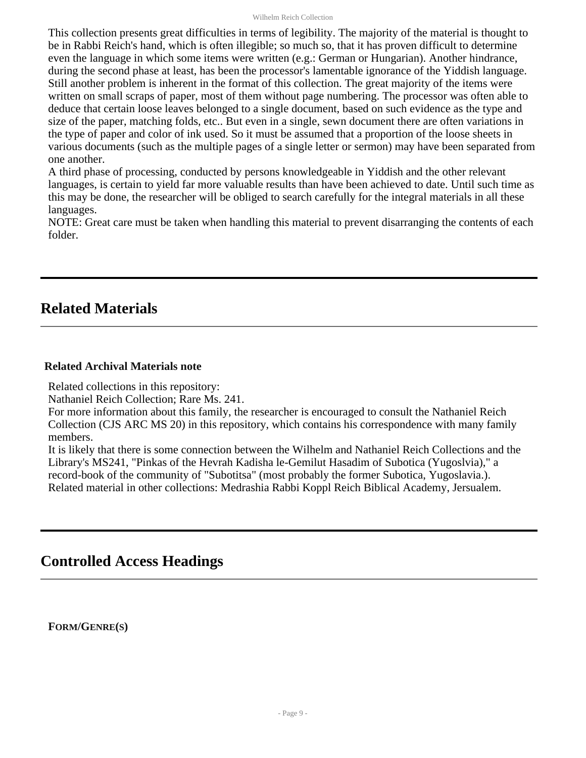This collection presents great difficulties in terms of legibility. The majority of the material is thought to be in Rabbi Reich's hand, which is often illegible; so much so, that it has proven difficult to determine even the language in which some items were written (e.g.: German or Hungarian). Another hindrance, during the second phase at least, has been the processor's lamentable ignorance of the Yiddish language. Still another problem is inherent in the format of this collection. The great majority of the items were written on small scraps of paper, most of them without page numbering. The processor was often able to deduce that certain loose leaves belonged to a single document, based on such evidence as the type and size of the paper, matching folds, etc.. But even in a single, sewn document there are often variations in the type of paper and color of ink used. So it must be assumed that a proportion of the loose sheets in various documents (such as the multiple pages of a single letter or sermon) may have been separated from one another.

A third phase of processing, conducted by persons knowledgeable in Yiddish and the other relevant languages, is certain to yield far more valuable results than have been achieved to date. Until such time as this may be done, the researcher will be obliged to search carefully for the integral materials in all these languages.

NOTE: Great care must be taken when handling this material to prevent disarranging the contents of each folder.

## <span id="page-8-0"></span>**Related Materials**

#### **Related Archival Materials note**

Related collections in this repository:

Nathaniel Reich Collection; Rare Ms. 241.

For more information about this family, the researcher is encouraged to consult the Nathaniel Reich Collection (CJS ARC MS 20) in this repository, which contains his correspondence with many family members.

It is likely that there is some connection between the Wilhelm and Nathaniel Reich Collections and the Library's MS241, "Pinkas of the Hevrah Kadisha le-Gemilut Hasadim of Subotica (Yugoslvia)," a record-book of the community of "Subotitsa" (most probably the former Subotica, Yugoslavia.). Related material in other collections: Medrashia Rabbi Koppl Reich Biblical Academy, Jersualem.

## <span id="page-8-1"></span>**Controlled Access Headings**

**FORM/GENRE(S)**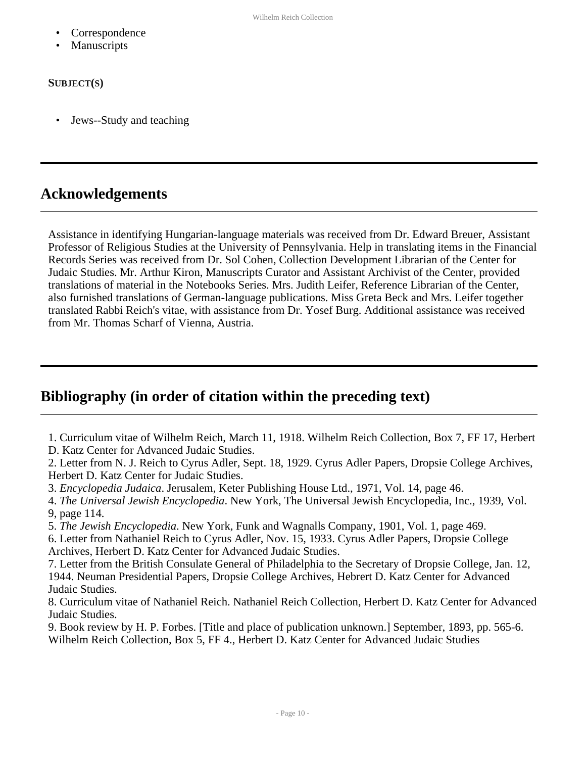- **Correspondence**
- **Manuscripts**

#### **SUBJECT(S)**

• Jews--Study and teaching

## <span id="page-9-0"></span>**Acknowledgements**

Assistance in identifying Hungarian-language materials was received from Dr. Edward Breuer, Assistant Professor of Religious Studies at the University of Pennsylvania. Help in translating items in the Financial Records Series was received from Dr. Sol Cohen, Collection Development Librarian of the Center for Judaic Studies. Mr. Arthur Kiron, Manuscripts Curator and Assistant Archivist of the Center, provided translations of material in the Notebooks Series. Mrs. Judith Leifer, Reference Librarian of the Center, also furnished translations of German-language publications. Miss Greta Beck and Mrs. Leifer together translated Rabbi Reich's vitae, with assistance from Dr. Yosef Burg. Additional assistance was received from Mr. Thomas Scharf of Vienna, Austria.

## <span id="page-9-1"></span>**Bibliography (in order of citation within the preceding text)**

1. Curriculum vitae of Wilhelm Reich, March 11, 1918. Wilhelm Reich Collection, Box 7, FF 17, Herbert D. Katz Center for Advanced Judaic Studies.

2. Letter from N. J. Reich to Cyrus Adler, Sept. 18, 1929. Cyrus Adler Papers, Dropsie College Archives, Herbert D. Katz Center for Judaic Studies.

3. *Encyclopedia Judaica*. Jerusalem, Keter Publishing House Ltd., 1971, Vol. 14, page 46.

4. *The Universal Jewish Encyclopedia*. New York, The Universal Jewish Encyclopedia, Inc., 1939, Vol. 9, page 114.

5. *The Jewish Encyclopedia*. New York, Funk and Wagnalls Company, 1901, Vol. 1, page 469.

6. Letter from Nathaniel Reich to Cyrus Adler, Nov. 15, 1933. Cyrus Adler Papers, Dropsie College Archives, Herbert D. Katz Center for Advanced Judaic Studies.

7. Letter from the British Consulate General of Philadelphia to the Secretary of Dropsie College, Jan. 12, 1944. Neuman Presidential Papers, Dropsie College Archives, Hebrert D. Katz Center for Advanced Judaic Studies.

8. Curriculum vitae of Nathaniel Reich. Nathaniel Reich Collection, Herbert D. Katz Center for Advanced Judaic Studies.

9. Book review by H. P. Forbes. [Title and place of publication unknown.] September, 1893, pp. 565-6. Wilhelm Reich Collection, Box 5, FF 4., Herbert D. Katz Center for Advanced Judaic Studies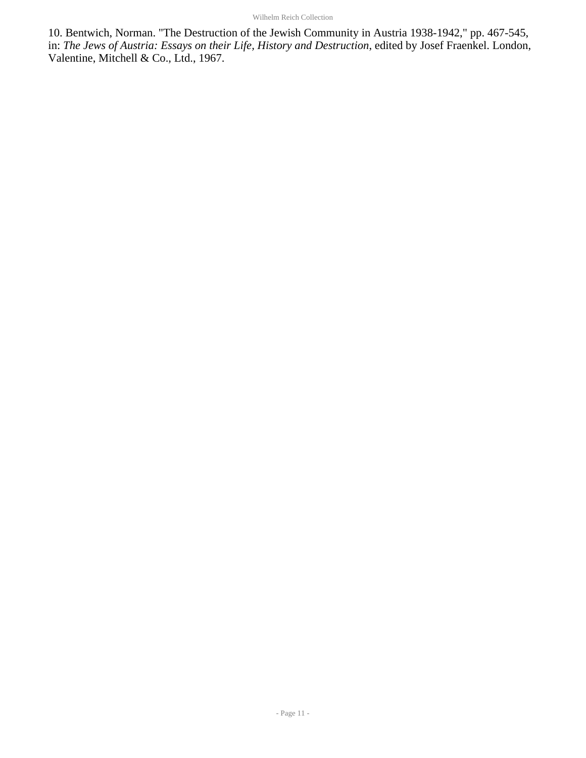10. Bentwich, Norman. "The Destruction of the Jewish Community in Austria 1938-1942," pp. 467-545, in: *The Jews of Austria: Essays on their Life, History and Destruction*, edited by Josef Fraenkel. London, Valentine, Mitchell & Co., Ltd., 1967.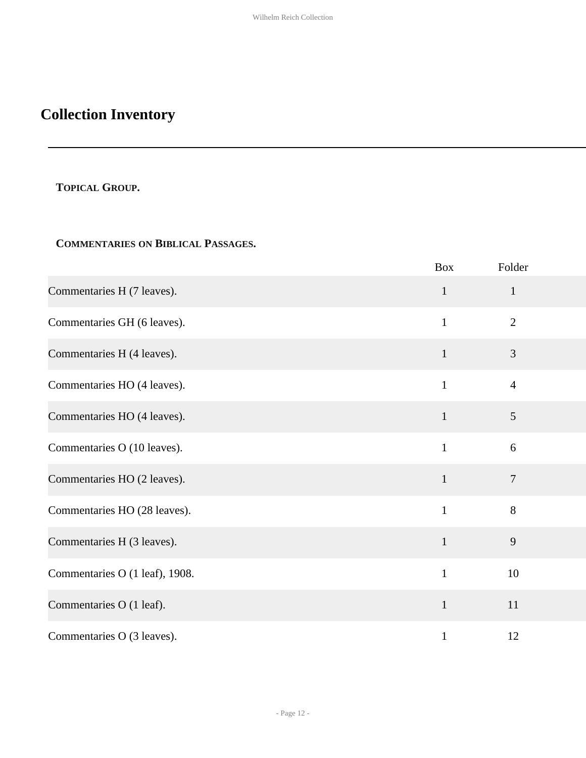# <span id="page-11-0"></span>**Collection Inventory**

## <span id="page-11-1"></span>**TOPICAL GROUP.**

## **COMMENTARIES ON BIBLICAL PASSAGES.**

|                                | <b>Box</b>   | Folder         |
|--------------------------------|--------------|----------------|
| Commentaries H (7 leaves).     | $\mathbf{1}$ | $\mathbf{1}$   |
| Commentaries GH (6 leaves).    | $\mathbf{1}$ | $\overline{2}$ |
| Commentaries H (4 leaves).     | $\mathbf{1}$ | 3              |
| Commentaries HO (4 leaves).    | $\mathbf{1}$ | $\overline{4}$ |
| Commentaries HO (4 leaves).    | $\mathbf{1}$ | 5              |
| Commentaries O (10 leaves).    | $\mathbf{1}$ | 6              |
| Commentaries HO (2 leaves).    | $\mathbf{1}$ | $\overline{7}$ |
| Commentaries HO (28 leaves).   | $\mathbf{1}$ | 8              |
| Commentaries H (3 leaves).     | $\mathbf{1}$ | 9              |
| Commentaries O (1 leaf), 1908. | $\mathbf{1}$ | 10             |
| Commentaries O (1 leaf).       | $\mathbf{1}$ | 11             |
| Commentaries O (3 leaves).     | $\mathbf{1}$ | 12             |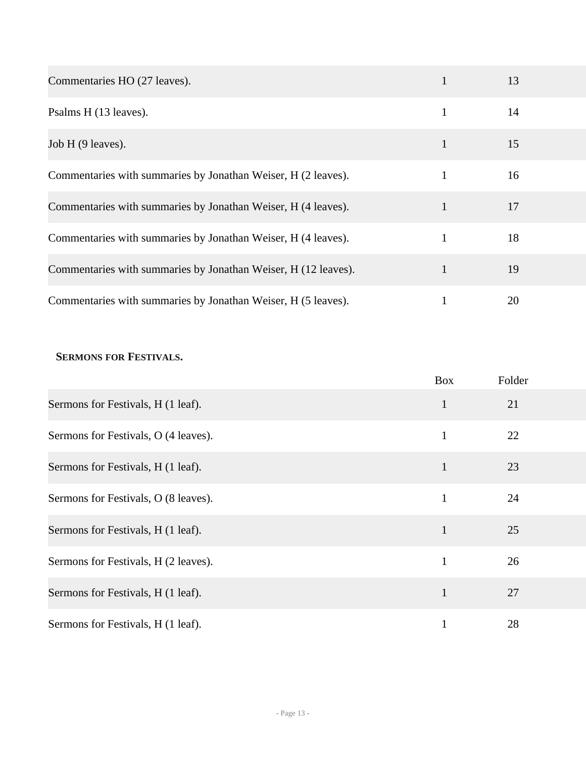| Commentaries HO (27 leaves).                                   | 1            | 13 |
|----------------------------------------------------------------|--------------|----|
| Psalms H (13 leaves).                                          | $\mathbf{1}$ | 14 |
| Job H (9 leaves).                                              | $\mathbf{1}$ | 15 |
| Commentaries with summaries by Jonathan Weiser, H (2 leaves).  | $\mathbf{1}$ | 16 |
| Commentaries with summaries by Jonathan Weiser, H (4 leaves).  | $\mathbf{1}$ | 17 |
| Commentaries with summaries by Jonathan Weiser, H (4 leaves).  | 1            | 18 |
| Commentaries with summaries by Jonathan Weiser, H (12 leaves). | $\mathbf{1}$ | 19 |
| Commentaries with summaries by Jonathan Weiser, H (5 leaves).  | 1            | 20 |

#### **SERMONS FOR FESTIVALS.**

|                                      | <b>Box</b>   | Folder |
|--------------------------------------|--------------|--------|
| Sermons for Festivals, H (1 leaf).   | $\mathbf{1}$ | 21     |
| Sermons for Festivals, O (4 leaves). | 1            | 22     |
| Sermons for Festivals, H (1 leaf).   | $\mathbf{1}$ | 23     |
| Sermons for Festivals, O (8 leaves). | $\mathbf{1}$ | 24     |
| Sermons for Festivals, H (1 leaf).   | 1            | 25     |
| Sermons for Festivals, H (2 leaves). | 1            | 26     |
| Sermons for Festivals, H (1 leaf).   | $\mathbf{1}$ | 27     |
| Sermons for Festivals, H (1 leaf).   | 1            | 28     |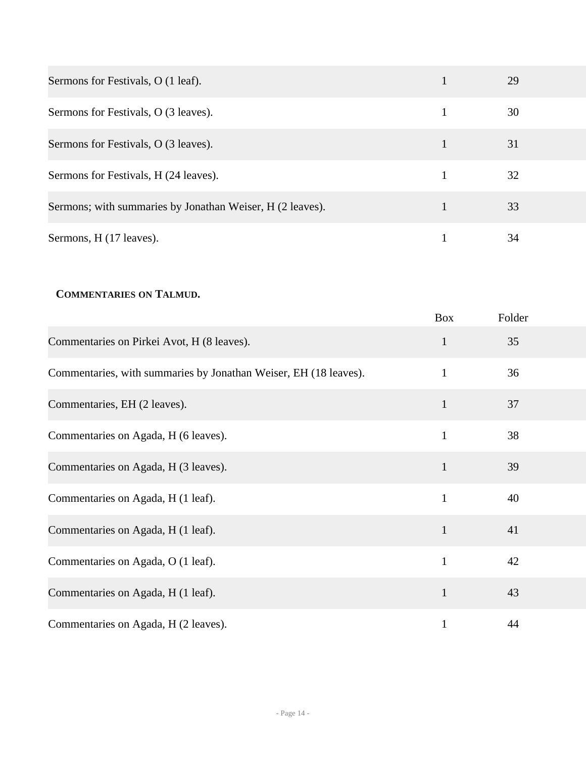| Sermons for Festivals, O (1 leaf).                        | 29 |
|-----------------------------------------------------------|----|
| Sermons for Festivals, O (3 leaves).                      | 30 |
| Sermons for Festivals, O (3 leaves).                      | 31 |
| Sermons for Festivals, H (24 leaves).                     | 32 |
| Sermons; with summaries by Jonathan Weiser, H (2 leaves). | 33 |
| Sermons, H (17 leaves).                                   | 34 |

### **COMMENTARIES ON TALMUD.**

|                                                                  | <b>Box</b>   | Folder |
|------------------------------------------------------------------|--------------|--------|
| Commentaries on Pirkei Avot, H (8 leaves).                       | 1            | 35     |
| Commentaries, with summaries by Jonathan Weiser, EH (18 leaves). | 1            | 36     |
| Commentaries, EH (2 leaves).                                     | $\mathbf{1}$ | 37     |
| Commentaries on Agada, H (6 leaves).                             | 1            | 38     |
| Commentaries on Agada, H (3 leaves).                             | $\mathbf{1}$ | 39     |
| Commentaries on Agada, H (1 leaf).                               | $\mathbf{1}$ | 40     |
| Commentaries on Agada, H (1 leaf).                               | $\mathbf{1}$ | 41     |
| Commentaries on Agada, O (1 leaf).                               | 1            | 42     |
| Commentaries on Agada, H (1 leaf).                               | $\mathbf{1}$ | 43     |
| Commentaries on Agada, H (2 leaves).                             |              | 44     |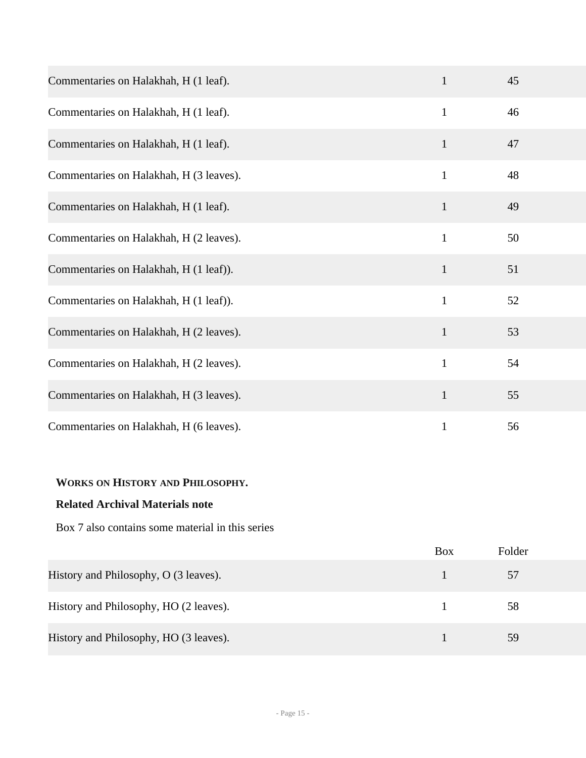| Commentaries on Halakhah, H (1 leaf).   | 1            | 45 |
|-----------------------------------------|--------------|----|
| Commentaries on Halakhah, H (1 leaf).   | $\mathbf{1}$ | 46 |
| Commentaries on Halakhah, H (1 leaf).   | $\mathbf{1}$ | 47 |
| Commentaries on Halakhah, H (3 leaves). | $\mathbf{1}$ | 48 |
| Commentaries on Halakhah, H (1 leaf).   | $\mathbf{1}$ | 49 |
| Commentaries on Halakhah, H (2 leaves). | $\mathbf{1}$ | 50 |
| Commentaries on Halakhah, H (1 leaf)).  | $\mathbf{1}$ | 51 |
| Commentaries on Halakhah, H (1 leaf)).  | $\mathbf{1}$ | 52 |
| Commentaries on Halakhah, H (2 leaves). | $\mathbf{1}$ | 53 |
| Commentaries on Halakhah, H (2 leaves). | $\mathbf{1}$ | 54 |
| Commentaries on Halakhah, H (3 leaves). | $\mathbf{1}$ | 55 |
| Commentaries on Halakhah, H (6 leaves). | $\mathbf{1}$ | 56 |

#### **WORKS ON HISTORY AND PHILOSOPHY.**

### **Related Archival Materials note**

Box 7 also contains some material in this series

|                                        | <b>Box</b> | Folder |
|----------------------------------------|------------|--------|
| History and Philosophy, O (3 leaves).  |            | 57     |
| History and Philosophy, HO (2 leaves). |            | 58     |
| History and Philosophy, HO (3 leaves). |            | 59     |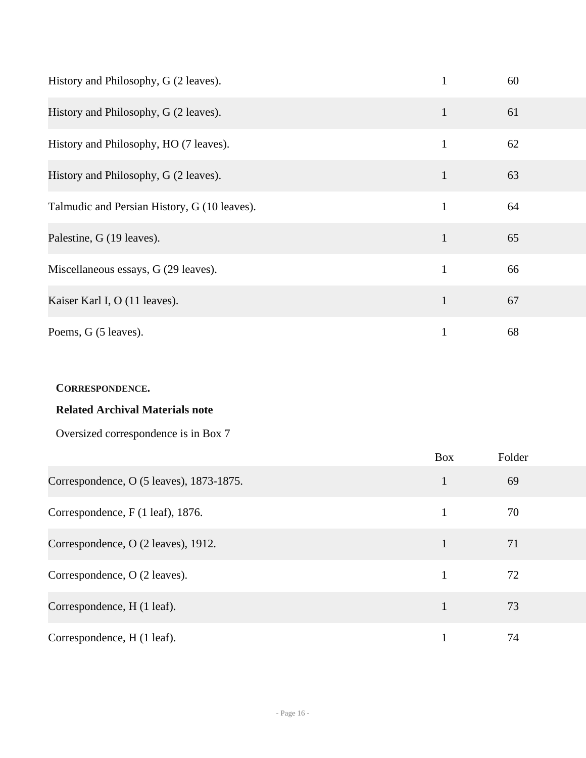| History and Philosophy, G (2 leaves).        |              | 60 |  |
|----------------------------------------------|--------------|----|--|
| History and Philosophy, G (2 leaves).        | $\mathbf{1}$ | 61 |  |
| History and Philosophy, HO (7 leaves).       | 1            | 62 |  |
| History and Philosophy, G (2 leaves).        | $\mathbf{1}$ | 63 |  |
| Talmudic and Persian History, G (10 leaves). | $\mathbf{1}$ | 64 |  |
| Palestine, G (19 leaves).                    | $\mathbf{1}$ | 65 |  |
| Miscellaneous essays, G (29 leaves).         | $\mathbf{1}$ | 66 |  |
| Kaiser Karl I, O (11 leaves).                | $\mathbf{1}$ | 67 |  |
| Poems, G (5 leaves).                         | 1            | 68 |  |

### **CORRESPONDENCE.**

## **Related Archival Materials note**

Oversized correspondence is in Box 7

|                                          | <b>Box</b>   | Folder |
|------------------------------------------|--------------|--------|
| Correspondence, O (5 leaves), 1873-1875. |              | 69     |
| Correspondence, F (1 leaf), 1876.        |              | 70     |
| Correspondence, O (2 leaves), 1912.      |              | 71     |
| Correspondence, O (2 leaves).            |              | 72     |
| Correspondence, H (1 leaf).              | $\mathbf{1}$ | 73     |
| Correspondence, H (1 leaf).              |              | 74     |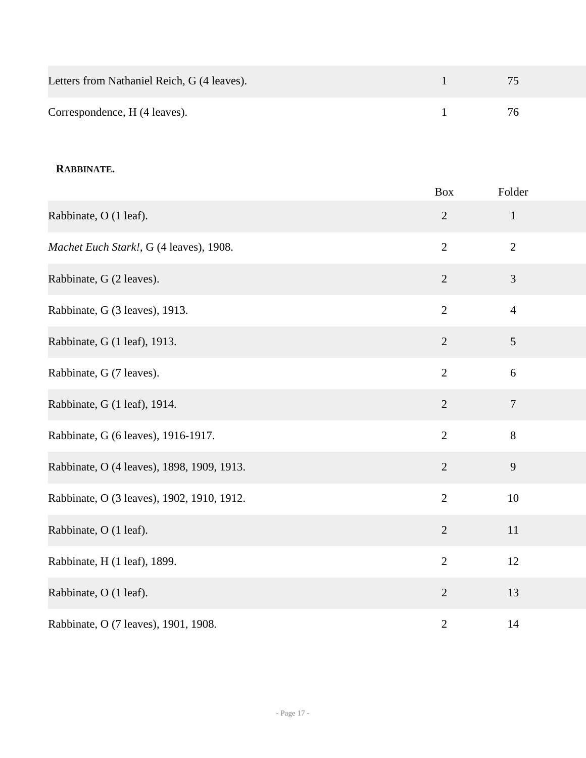| Letters from Nathaniel Reich, G (4 leaves). | 75  |
|---------------------------------------------|-----|
| Correspondence, H (4 leaves).               | 76. |

#### **RABBINATE.**

|                                            | <b>Box</b>     | Folder         |
|--------------------------------------------|----------------|----------------|
| Rabbinate, O (1 leaf).                     | $\sqrt{2}$     | $\mathbf{1}$   |
| Machet Euch Stark!, G (4 leaves), 1908.    | $\overline{2}$ | $\overline{2}$ |
| Rabbinate, G (2 leaves).                   | $\overline{2}$ | $\mathfrak{Z}$ |
| Rabbinate, G (3 leaves), 1913.             | $\overline{2}$ | $\overline{4}$ |
| Rabbinate, G (1 leaf), 1913.               | $\overline{2}$ | 5              |
| Rabbinate, G (7 leaves).                   | $\overline{2}$ | 6              |
| Rabbinate, G (1 leaf), 1914.               | $\overline{2}$ | $\overline{7}$ |
| Rabbinate, G (6 leaves), 1916-1917.        | $\overline{2}$ | $8\,$          |
| Rabbinate, O (4 leaves), 1898, 1909, 1913. | $\overline{2}$ | 9              |
| Rabbinate, O (3 leaves), 1902, 1910, 1912. | $\overline{2}$ | 10             |
| Rabbinate, O (1 leaf).                     | $\sqrt{2}$     | 11             |
| Rabbinate, H (1 leaf), 1899.               | $\overline{2}$ | 12             |
| Rabbinate, O (1 leaf).                     | $\overline{2}$ | 13             |
| Rabbinate, O (7 leaves), 1901, 1908.       | $\overline{2}$ | 14             |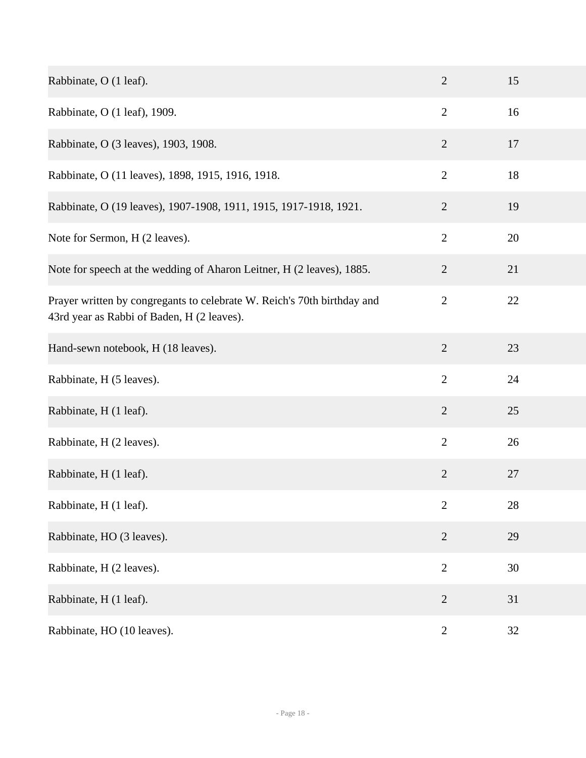| Rabbinate, O (1 leaf).                                                                                                | $\overline{2}$ | 15 |
|-----------------------------------------------------------------------------------------------------------------------|----------------|----|
| Rabbinate, O (1 leaf), 1909.                                                                                          | $\overline{2}$ | 16 |
| Rabbinate, O (3 leaves), 1903, 1908.                                                                                  | $\mathbf{2}$   | 17 |
| Rabbinate, O (11 leaves), 1898, 1915, 1916, 1918.                                                                     | $\mathbf{2}$   | 18 |
| Rabbinate, O (19 leaves), 1907-1908, 1911, 1915, 1917-1918, 1921.                                                     | $\overline{2}$ | 19 |
| Note for Sermon, H (2 leaves).                                                                                        | $\overline{2}$ | 20 |
| Note for speech at the wedding of Aharon Leitner, H (2 leaves), 1885.                                                 | $\mathbf{2}$   | 21 |
| Prayer written by congregants to celebrate W. Reich's 70th birthday and<br>43rd year as Rabbi of Baden, H (2 leaves). | $\mathbf{2}$   | 22 |
| Hand-sewn notebook, H (18 leaves).                                                                                    | $\overline{2}$ | 23 |
| Rabbinate, H (5 leaves).                                                                                              | $\overline{2}$ | 24 |
| Rabbinate, H (1 leaf).                                                                                                | $\overline{2}$ | 25 |
| Rabbinate, H (2 leaves).                                                                                              | $\overline{2}$ | 26 |
| Rabbinate, H (1 leaf).                                                                                                | $\mathbf{2}$   | 27 |
| Rabbinate, H (1 leaf).                                                                                                | $\overline{2}$ | 28 |
| Rabbinate, HO (3 leaves).                                                                                             | $\overline{2}$ | 29 |
| Rabbinate, H (2 leaves).                                                                                              | $\overline{2}$ | 30 |
| Rabbinate, H (1 leaf).                                                                                                | $\mathbf{2}$   | 31 |
| Rabbinate, HO (10 leaves).                                                                                            | $\overline{2}$ | 32 |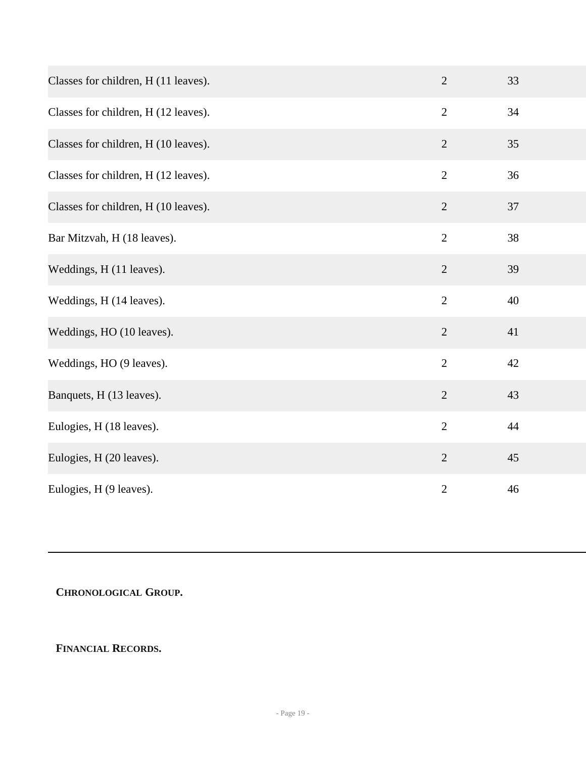| Classes for children, H (11 leaves). | $\overline{2}$ | 33 |
|--------------------------------------|----------------|----|
| Classes for children, H (12 leaves). | $\overline{2}$ | 34 |
| Classes for children, H (10 leaves). | $\overline{2}$ | 35 |
| Classes for children, H (12 leaves). | $\overline{2}$ | 36 |
| Classes for children, H (10 leaves). | $\overline{2}$ | 37 |
| Bar Mitzvah, H (18 leaves).          | $\overline{2}$ | 38 |
| Weddings, H (11 leaves).             | $\overline{2}$ | 39 |
| Weddings, H (14 leaves).             | $\overline{2}$ | 40 |
| Weddings, HO (10 leaves).            | $\overline{2}$ | 41 |
| Weddings, HO (9 leaves).             | $\overline{2}$ | 42 |
| Banquets, H (13 leaves).             | $\overline{2}$ | 43 |
| Eulogies, H (18 leaves).             | $\overline{2}$ | 44 |
| Eulogies, H (20 leaves).             | $\overline{2}$ | 45 |
| Eulogies, H (9 leaves).              | $\overline{2}$ | 46 |

## <span id="page-18-0"></span>**CHRONOLOGICAL GROUP.**

### **FINANCIAL RECORDS.**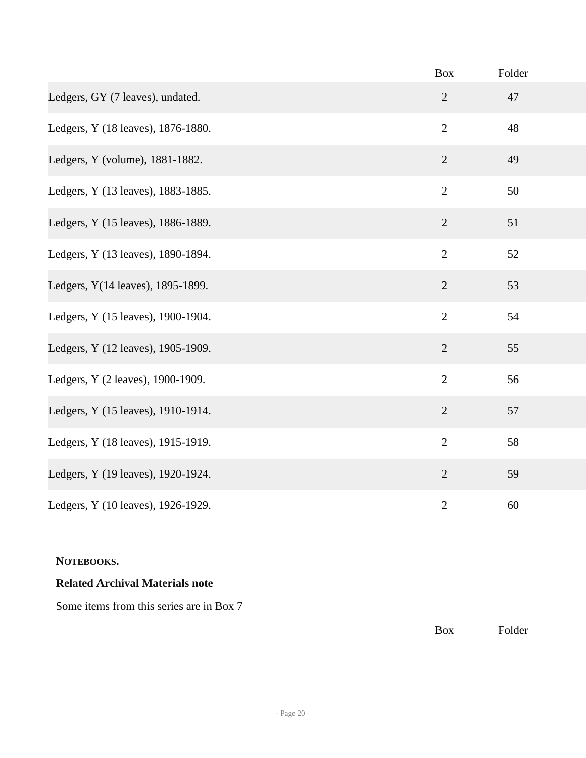|                                    | <b>Box</b>     | Folder |  |
|------------------------------------|----------------|--------|--|
| Ledgers, GY (7 leaves), undated.   | $\overline{2}$ | 47     |  |
| Ledgers, Y (18 leaves), 1876-1880. | $\overline{2}$ | 48     |  |
| Ledgers, Y (volume), 1881-1882.    | $\overline{2}$ | 49     |  |
| Ledgers, Y (13 leaves), 1883-1885. | $\overline{2}$ | 50     |  |
| Ledgers, Y (15 leaves), 1886-1889. | $\overline{2}$ | 51     |  |
| Ledgers, Y (13 leaves), 1890-1894. | $\overline{2}$ | 52     |  |
| Ledgers, Y(14 leaves), 1895-1899.  | $\overline{2}$ | 53     |  |
| Ledgers, Y (15 leaves), 1900-1904. | $\overline{2}$ | 54     |  |
| Ledgers, Y (12 leaves), 1905-1909. | $\overline{2}$ | 55     |  |
| Ledgers, Y (2 leaves), 1900-1909.  | $\overline{2}$ | 56     |  |
| Ledgers, Y (15 leaves), 1910-1914. | $\sqrt{2}$     | 57     |  |
| Ledgers, Y (18 leaves), 1915-1919. | $\overline{2}$ | 58     |  |
| Ledgers, Y (19 leaves), 1920-1924. | $\sqrt{2}$     | 59     |  |
| Ledgers, Y (10 leaves), 1926-1929. | $\overline{2}$ | 60     |  |

### **NOTEBOOKS.**

### **Related Archival Materials note**

Some items from this series are in Box 7

Box Folder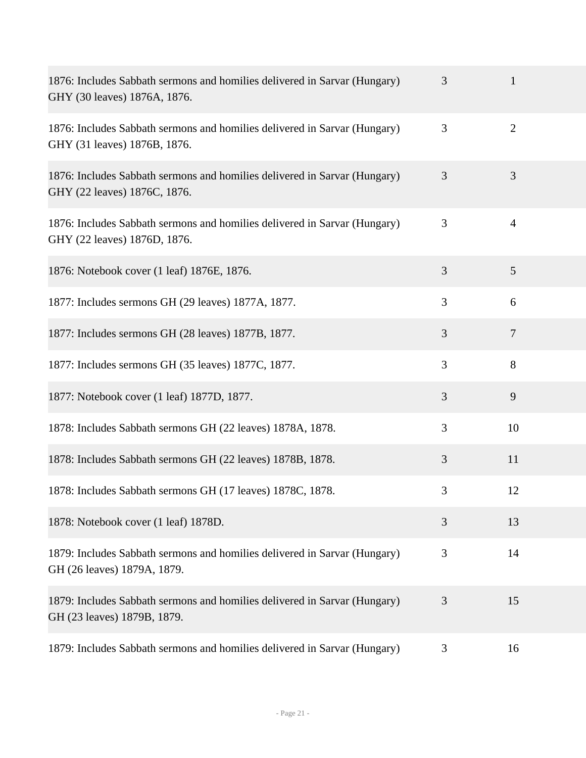| 1876: Includes Sabbath sermons and homilies delivered in Sarvar (Hungary)<br>GHY (30 leaves) 1876A, 1876. | 3 | $\mathbf{1}$   |
|-----------------------------------------------------------------------------------------------------------|---|----------------|
| 1876: Includes Sabbath sermons and homilies delivered in Sarvar (Hungary)<br>GHY (31 leaves) 1876B, 1876. | 3 | $\overline{2}$ |
| 1876: Includes Sabbath sermons and homilies delivered in Sarvar (Hungary)<br>GHY (22 leaves) 1876C, 1876. | 3 | 3              |
| 1876: Includes Sabbath sermons and homilies delivered in Sarvar (Hungary)<br>GHY (22 leaves) 1876D, 1876. | 3 | $\overline{4}$ |
| 1876: Notebook cover (1 leaf) 1876E, 1876.                                                                | 3 | 5              |
| 1877: Includes sermons GH (29 leaves) 1877A, 1877.                                                        | 3 | 6              |
| 1877: Includes sermons GH (28 leaves) 1877B, 1877.                                                        | 3 | $\overline{7}$ |
| 1877: Includes sermons GH (35 leaves) 1877C, 1877.                                                        | 3 | 8              |
| 1877: Notebook cover (1 leaf) 1877D, 1877.                                                                | 3 | 9              |
| 1878: Includes Sabbath sermons GH (22 leaves) 1878A, 1878.                                                | 3 | 10             |
| 1878: Includes Sabbath sermons GH (22 leaves) 1878B, 1878.                                                | 3 | 11             |
| 1878: Includes Sabbath sermons GH (17 leaves) 1878C, 1878.                                                | 3 | 12             |
| 1878: Notebook cover (1 leaf) 1878D.                                                                      | 3 | 13             |
| 1879: Includes Sabbath sermons and homilies delivered in Sarvar (Hungary)<br>GH (26 leaves) 1879A, 1879.  | 3 | 14             |
| 1879: Includes Sabbath sermons and homilies delivered in Sarvar (Hungary)<br>GH (23 leaves) 1879B, 1879.  | 3 | 15             |
| 1879: Includes Sabbath sermons and homilies delivered in Sarvar (Hungary)                                 | 3 | 16             |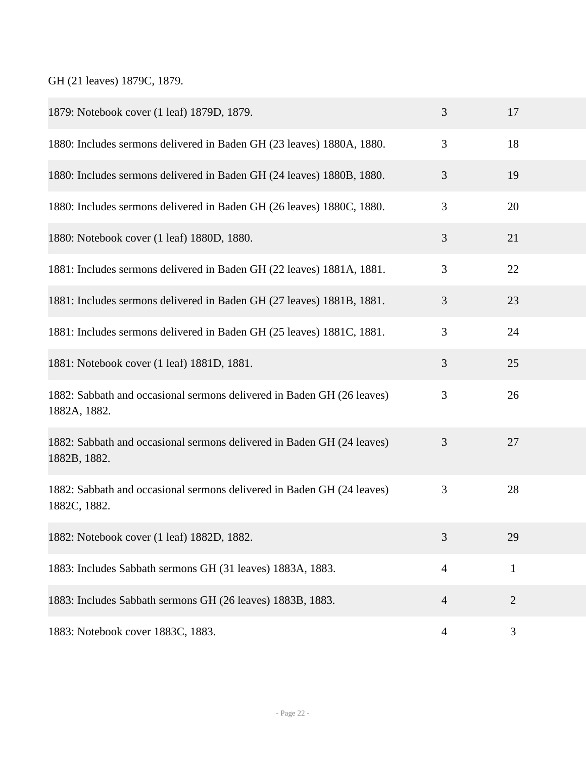GH (21 leaves) 1879C, 1879.

| 1879: Notebook cover (1 leaf) 1879D, 1879.                                             | 3              | 17             |
|----------------------------------------------------------------------------------------|----------------|----------------|
| 1880: Includes sermons delivered in Baden GH (23 leaves) 1880A, 1880.                  | 3              | 18             |
| 1880: Includes sermons delivered in Baden GH (24 leaves) 1880B, 1880.                  | 3              | 19             |
| 1880: Includes sermons delivered in Baden GH (26 leaves) 1880C, 1880.                  | 3              | 20             |
| 1880: Notebook cover (1 leaf) 1880D, 1880.                                             | 3              | 21             |
| 1881: Includes sermons delivered in Baden GH (22 leaves) 1881A, 1881.                  | 3              | 22             |
| 1881: Includes sermons delivered in Baden GH (27 leaves) 1881B, 1881.                  | 3              | 23             |
| 1881: Includes sermons delivered in Baden GH (25 leaves) 1881C, 1881.                  | 3              | 24             |
| 1881: Notebook cover (1 leaf) 1881D, 1881.                                             | 3              | 25             |
| 1882: Sabbath and occasional sermons delivered in Baden GH (26 leaves)<br>1882A, 1882. | 3              | 26             |
| 1882: Sabbath and occasional sermons delivered in Baden GH (24 leaves)<br>1882B, 1882. | 3              | 27             |
| 1882: Sabbath and occasional sermons delivered in Baden GH (24 leaves)<br>1882C, 1882. | 3              | 28             |
| 1882: Notebook cover (1 leaf) 1882D, 1882.                                             | 3              | 29             |
| 1883: Includes Sabbath sermons GH (31 leaves) 1883A, 1883.                             | $\overline{4}$ | $\mathbf{1}$   |
| 1883: Includes Sabbath sermons GH (26 leaves) 1883B, 1883.                             | $\overline{4}$ | $\overline{2}$ |
| 1883: Notebook cover 1883C, 1883.                                                      | $\overline{4}$ | 3              |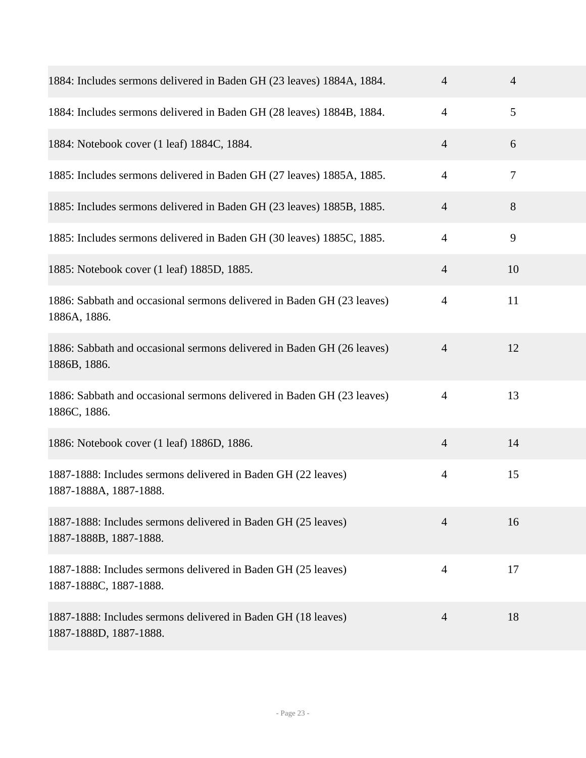| 1884: Includes sermons delivered in Baden GH (23 leaves) 1884A, 1884.                   | $\overline{4}$ | $\overline{4}$ |
|-----------------------------------------------------------------------------------------|----------------|----------------|
| 1884: Includes sermons delivered in Baden GH (28 leaves) 1884B, 1884.                   | $\overline{4}$ | 5              |
| 1884: Notebook cover (1 leaf) 1884C, 1884.                                              | $\overline{4}$ | 6              |
| 1885: Includes sermons delivered in Baden GH (27 leaves) 1885A, 1885.                   | $\overline{4}$ | $\tau$         |
| 1885: Includes sermons delivered in Baden GH (23 leaves) 1885B, 1885.                   | $\overline{4}$ | 8              |
| 1885: Includes sermons delivered in Baden GH (30 leaves) 1885C, 1885.                   | $\overline{4}$ | 9              |
| 1885: Notebook cover (1 leaf) 1885D, 1885.                                              | $\overline{4}$ | 10             |
| 1886: Sabbath and occasional sermons delivered in Baden GH (23 leaves)<br>1886A, 1886.  | 4              | 11             |
| 1886: Sabbath and occasional sermons delivered in Baden GH (26 leaves)<br>1886B, 1886.  | $\overline{4}$ | 12             |
| 1886: Sabbath and occasional sermons delivered in Baden GH (23 leaves)<br>1886C, 1886.  | $\overline{4}$ | 13             |
| 1886: Notebook cover (1 leaf) 1886D, 1886.                                              | $\overline{4}$ | 14             |
| 1887-1888: Includes sermons delivered in Baden GH (22 leaves)<br>1887-1888A, 1887-1888. | $\overline{4}$ | 15             |
| 1887-1888: Includes sermons delivered in Baden GH (25 leaves)<br>1887-1888B, 1887-1888. | $\overline{4}$ | 16             |
| 1887-1888: Includes sermons delivered in Baden GH (25 leaves)<br>1887-1888C, 1887-1888. | $\overline{4}$ | 17             |
| 1887-1888: Includes sermons delivered in Baden GH (18 leaves)<br>1887-1888D, 1887-1888. | 4              | 18             |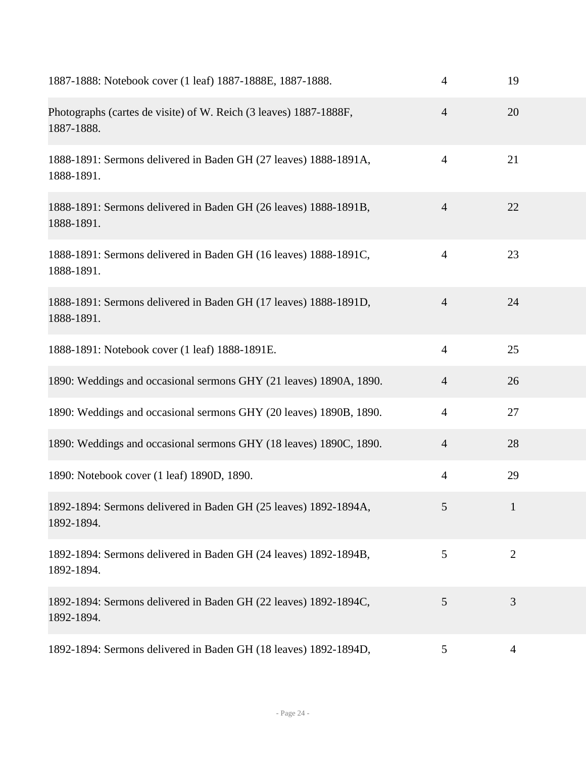| 1887-1888: Notebook cover (1 leaf) 1887-1888E, 1887-1888.                       | $\overline{4}$ | 19           |
|---------------------------------------------------------------------------------|----------------|--------------|
| Photographs (cartes de visite) of W. Reich (3 leaves) 1887-1888F,<br>1887-1888. | $\overline{4}$ | 20           |
| 1888-1891: Sermons delivered in Baden GH (27 leaves) 1888-1891A,<br>1888-1891.  | $\overline{4}$ | 21           |
| 1888-1891: Sermons delivered in Baden GH (26 leaves) 1888-1891B,<br>1888-1891.  | $\overline{4}$ | 22           |
| 1888-1891: Sermons delivered in Baden GH (16 leaves) 1888-1891C,<br>1888-1891.  | $\overline{4}$ | 23           |
| 1888-1891: Sermons delivered in Baden GH (17 leaves) 1888-1891D,<br>1888-1891.  | $\overline{4}$ | 24           |
| 1888-1891: Notebook cover (1 leaf) 1888-1891E.                                  | $\overline{4}$ | 25           |
| 1890: Weddings and occasional sermons GHY (21 leaves) 1890A, 1890.              | $\overline{4}$ | 26           |
| 1890: Weddings and occasional sermons GHY (20 leaves) 1890B, 1890.              | $\overline{4}$ | 27           |
| 1890: Weddings and occasional sermons GHY (18 leaves) 1890C, 1890.              | $\overline{4}$ | 28           |
| 1890: Notebook cover (1 leaf) 1890D, 1890.                                      | $\overline{4}$ | 29           |
| 1892-1894: Sermons delivered in Baden GH (25 leaves) 1892-1894A,<br>1892-1894.  | 5              | $\mathbf{1}$ |
| 1892-1894: Sermons delivered in Baden GH (24 leaves) 1892-1894B,<br>1892-1894.  | 5              | $\mathbf{2}$ |
| 1892-1894: Sermons delivered in Baden GH (22 leaves) 1892-1894C,<br>1892-1894.  | 5              | 3            |
| 1892-1894: Sermons delivered in Baden GH (18 leaves) 1892-1894D,                | 5              | 4            |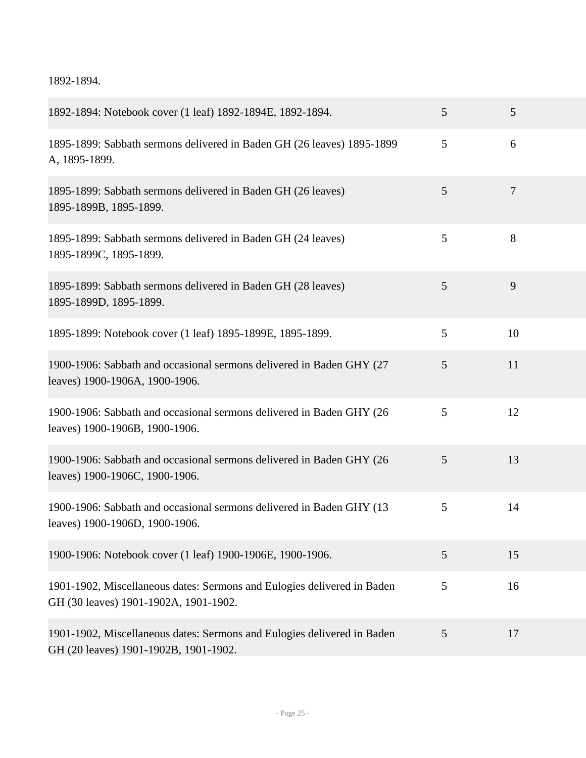1892-1894.

| 1892-1894: Notebook cover (1 leaf) 1892-1894E, 1892-1894.                                                        | 5 | 5              |
|------------------------------------------------------------------------------------------------------------------|---|----------------|
| 1895-1899: Sabbath sermons delivered in Baden GH (26 leaves) 1895-1899<br>A, 1895-1899.                          | 5 | 6              |
| 1895-1899: Sabbath sermons delivered in Baden GH (26 leaves)<br>1895-1899B, 1895-1899.                           | 5 | $\overline{7}$ |
| 1895-1899: Sabbath sermons delivered in Baden GH (24 leaves)<br>1895-1899C, 1895-1899.                           | 5 | 8              |
| 1895-1899: Sabbath sermons delivered in Baden GH (28 leaves)<br>1895-1899D, 1895-1899.                           | 5 | 9              |
| 1895-1899: Notebook cover (1 leaf) 1895-1899E, 1895-1899.                                                        | 5 | 10             |
| 1900-1906: Sabbath and occasional sermons delivered in Baden GHY (27)<br>leaves) 1900-1906A, 1900-1906.          | 5 | 11             |
| 1900-1906: Sabbath and occasional sermons delivered in Baden GHY (26<br>leaves) 1900-1906B, 1900-1906.           | 5 | 12             |
| 1900-1906: Sabbath and occasional sermons delivered in Baden GHY (26<br>leaves) 1900-1906C, 1900-1906.           | 5 | 13             |
| 1900-1906: Sabbath and occasional sermons delivered in Baden GHY (13<br>leaves) 1900-1906D, 1900-1906.           | 5 | 14             |
| 1900-1906: Notebook cover (1 leaf) 1900-1906E, 1900-1906.                                                        | 5 | 15             |
| 1901-1902, Miscellaneous dates: Sermons and Eulogies delivered in Baden<br>GH (30 leaves) 1901-1902A, 1901-1902. | 5 | 16             |
| 1901-1902, Miscellaneous dates: Sermons and Eulogies delivered in Baden<br>GH (20 leaves) 1901-1902B, 1901-1902. | 5 | 17             |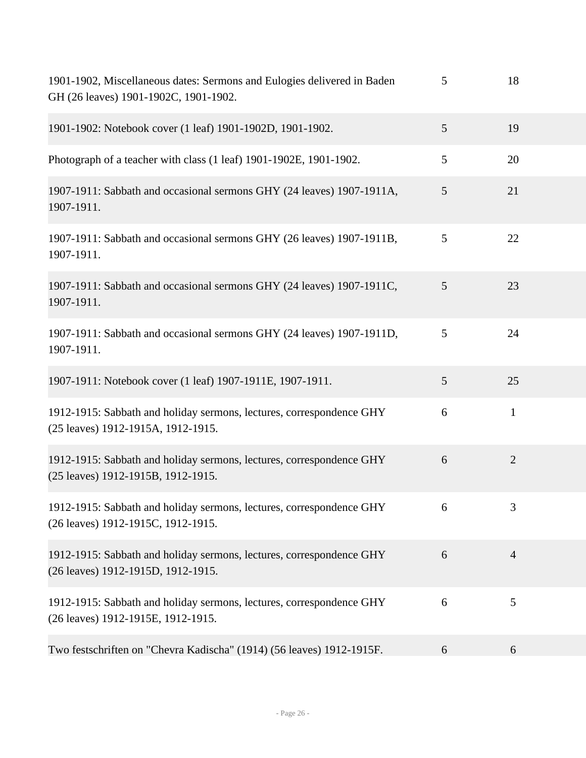| 1901-1902, Miscellaneous dates: Sermons and Eulogies delivered in Baden<br>GH (26 leaves) 1901-1902C, 1901-1902. | 5 | 18             |  |
|------------------------------------------------------------------------------------------------------------------|---|----------------|--|
| 1901-1902: Notebook cover (1 leaf) 1901-1902D, 1901-1902.                                                        | 5 | 19             |  |
| Photograph of a teacher with class (1 leaf) 1901-1902E, 1901-1902.                                               | 5 | 20             |  |
| 1907-1911: Sabbath and occasional sermons GHY (24 leaves) 1907-1911A,<br>1907-1911.                              | 5 | 21             |  |
| 1907-1911: Sabbath and occasional sermons GHY (26 leaves) 1907-1911B,<br>1907-1911.                              | 5 | 22             |  |
| 1907-1911: Sabbath and occasional sermons GHY (24 leaves) 1907-1911C,<br>1907-1911.                              | 5 | 23             |  |
| 1907-1911: Sabbath and occasional sermons GHY (24 leaves) 1907-1911D,<br>1907-1911.                              | 5 | 24             |  |
| 1907-1911: Notebook cover (1 leaf) 1907-1911E, 1907-1911.                                                        | 5 | 25             |  |
| 1912-1915: Sabbath and holiday sermons, lectures, correspondence GHY<br>(25 leaves) 1912-1915A, 1912-1915.       | 6 | $\mathbf{1}$   |  |
| 1912-1915: Sabbath and holiday sermons, lectures, correspondence GHY<br>(25 leaves) 1912-1915B, 1912-1915.       | 6 | $\overline{2}$ |  |
| 1912-1915: Sabbath and holiday sermons, lectures, correspondence GHY<br>(26 leaves) 1912-1915C, 1912-1915.       | 6 | 3              |  |
| 1912-1915: Sabbath and holiday sermons, lectures, correspondence GHY<br>(26 leaves) 1912-1915D, 1912-1915.       | 6 | $\overline{4}$ |  |
| 1912-1915: Sabbath and holiday sermons, lectures, correspondence GHY<br>(26 leaves) 1912-1915E, 1912-1915.       | 6 | 5              |  |
| Two festschriften on "Chevra Kadischa" (1914) (56 leaves) 1912-1915F.                                            | 6 | 6              |  |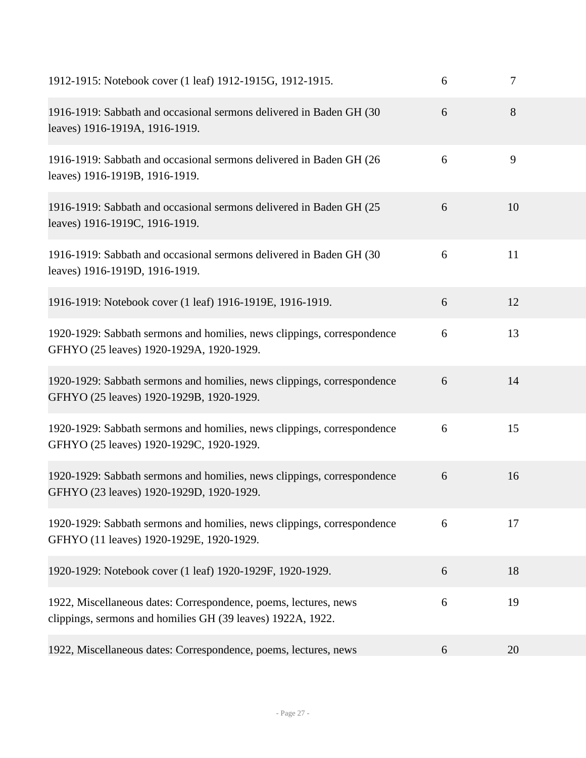| 1912-1915: Notebook cover (1 leaf) 1912-1915G, 1912-1915.                                                                       | 6 | 7  |  |
|---------------------------------------------------------------------------------------------------------------------------------|---|----|--|
| 1916-1919: Sabbath and occasional sermons delivered in Baden GH (30<br>leaves) 1916-1919A, 1916-1919.                           | 6 | 8  |  |
| 1916-1919: Sabbath and occasional sermons delivered in Baden GH (26)<br>leaves) 1916-1919B, 1916-1919.                          | 6 | 9  |  |
| 1916-1919: Sabbath and occasional sermons delivered in Baden GH (25)<br>leaves) 1916-1919C, 1916-1919.                          | 6 | 10 |  |
| 1916-1919: Sabbath and occasional sermons delivered in Baden GH (30)<br>leaves) 1916-1919D, 1916-1919.                          | 6 | 11 |  |
| 1916-1919: Notebook cover (1 leaf) 1916-1919E, 1916-1919.                                                                       | 6 | 12 |  |
| 1920-1929: Sabbath sermons and homilies, news clippings, correspondence<br>GFHYO (25 leaves) 1920-1929A, 1920-1929.             | 6 | 13 |  |
| 1920-1929: Sabbath sermons and homilies, news clippings, correspondence<br>GFHYO (25 leaves) 1920-1929B, 1920-1929.             | 6 | 14 |  |
| 1920-1929: Sabbath sermons and homilies, news clippings, correspondence<br>GFHYO (25 leaves) 1920-1929C, 1920-1929.             | 6 | 15 |  |
| 1920-1929: Sabbath sermons and homilies, news clippings, correspondence<br>GFHYO (23 leaves) 1920-1929D, 1920-1929.             | 6 | 16 |  |
| 1920-1929: Sabbath sermons and homilies, news clippings, correspondence<br>GFHYO (11 leaves) 1920-1929E, 1920-1929.             | 6 | 17 |  |
| 1920-1929: Notebook cover (1 leaf) 1920-1929F, 1920-1929.                                                                       | 6 | 18 |  |
| 1922, Miscellaneous dates: Correspondence, poems, lectures, news<br>clippings, sermons and homilies GH (39 leaves) 1922A, 1922. | 6 | 19 |  |
| 1922, Miscellaneous dates: Correspondence, poems, lectures, news                                                                | 6 | 20 |  |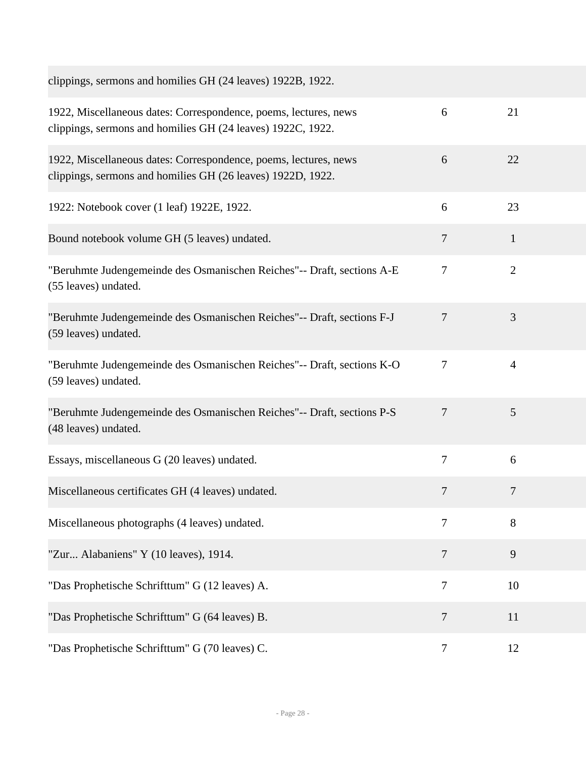| clippings, sermons and homilies GH (24 leaves) 1922B, 1922.                                                                     |                |                |
|---------------------------------------------------------------------------------------------------------------------------------|----------------|----------------|
| 1922, Miscellaneous dates: Correspondence, poems, lectures, news<br>clippings, sermons and homilies GH (24 leaves) 1922C, 1922. | 6              | 21             |
| 1922, Miscellaneous dates: Correspondence, poems, lectures, news<br>clippings, sermons and homilies GH (26 leaves) 1922D, 1922. | 6              | 22             |
| 1922: Notebook cover (1 leaf) 1922E, 1922.                                                                                      | 6              | 23             |
| Bound notebook volume GH (5 leaves) undated.                                                                                    | $\overline{7}$ | $\mathbf{1}$   |
| "Beruhmte Judengemeinde des Osmanischen Reiches"-- Draft, sections A-E<br>(55 leaves) undated.                                  | $\tau$         | $\overline{2}$ |
| "Beruhmte Judengemeinde des Osmanischen Reiches"-- Draft, sections F-J<br>(59 leaves) undated.                                  | $\overline{7}$ | 3              |
| "Beruhmte Judengemeinde des Osmanischen Reiches"-- Draft, sections K-O<br>(59 leaves) undated.                                  | $\overline{7}$ | $\overline{4}$ |
| "Beruhmte Judengemeinde des Osmanischen Reiches"-- Draft, sections P-S<br>(48 leaves) undated.                                  | $\overline{7}$ | 5              |
| Essays, miscellaneous G (20 leaves) undated.                                                                                    | $\tau$         | 6              |
| Miscellaneous certificates GH (4 leaves) undated.                                                                               | $\overline{7}$ | $\overline{7}$ |
| Miscellaneous photographs (4 leaves) undated.                                                                                   | $\overline{7}$ | 8              |
| "Zur Alabaniens" Y (10 leaves), 1914.                                                                                           | $\overline{7}$ | 9              |
| "Das Prophetische Schrifttum" G (12 leaves) A.                                                                                  | $\tau$         | 10             |
| "Das Prophetische Schrifttum" G (64 leaves) B.                                                                                  | $\overline{7}$ | 11             |
| "Das Prophetische Schrifttum" G (70 leaves) C.                                                                                  | 7              | 12             |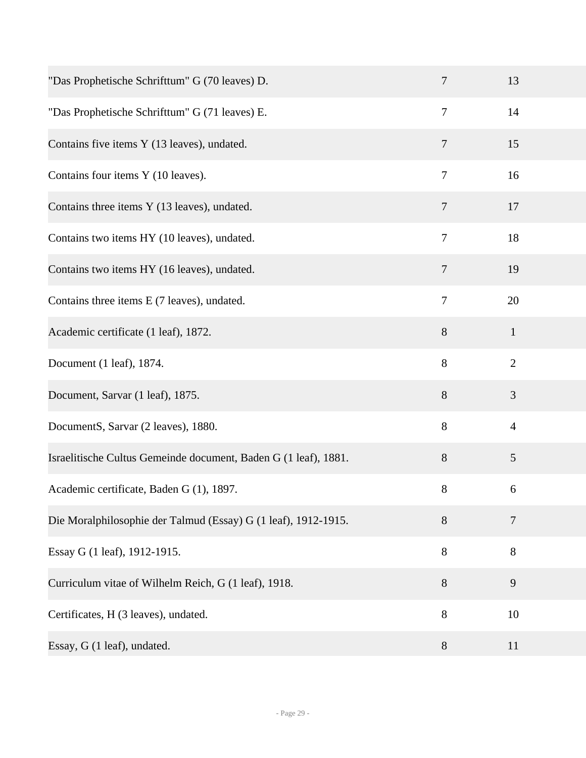| "Das Prophetische Schrifttum" G (70 leaves) D.                  | $\tau$         | 13             |
|-----------------------------------------------------------------|----------------|----------------|
| "Das Prophetische Schrifttum" G (71 leaves) E.                  | $\tau$         | 14             |
| Contains five items Y (13 leaves), undated.                     | 7              | 15             |
| Contains four items Y (10 leaves).                              | $\tau$         | 16             |
| Contains three items Y (13 leaves), undated.                    | $\overline{7}$ | 17             |
| Contains two items HY (10 leaves), undated.                     | $\tau$         | 18             |
| Contains two items HY (16 leaves), undated.                     | $\overline{7}$ | 19             |
| Contains three items E (7 leaves), undated.                     | $\tau$         | 20             |
| Academic certificate (1 leaf), 1872.                            | 8              | $\mathbf{1}$   |
| Document (1 leaf), 1874.                                        | 8              | $\mathbf{2}$   |
| Document, Sarvar (1 leaf), 1875.                                | 8              | 3              |
| DocumentS, Sarvar (2 leaves), 1880.                             | $8\,$          | $\overline{4}$ |
| Israelitische Cultus Gemeinde document, Baden G (1 leaf), 1881. | 8              | 5              |
| Academic certificate, Baden G (1), 1897.                        | $8\,$          | 6              |
| Die Moralphilosophie der Talmud (Essay) G (1 leaf), 1912-1915.  | 8              | $\tau$         |
| Essay G (1 leaf), 1912-1915.                                    | 8              | $8\,$          |
| Curriculum vitae of Wilhelm Reich, G (1 leaf), 1918.            | 8              | 9              |
| Certificates, H (3 leaves), undated.                            | 8              | 10             |
| Essay, G (1 leaf), undated.                                     | $8\,$          | 11             |